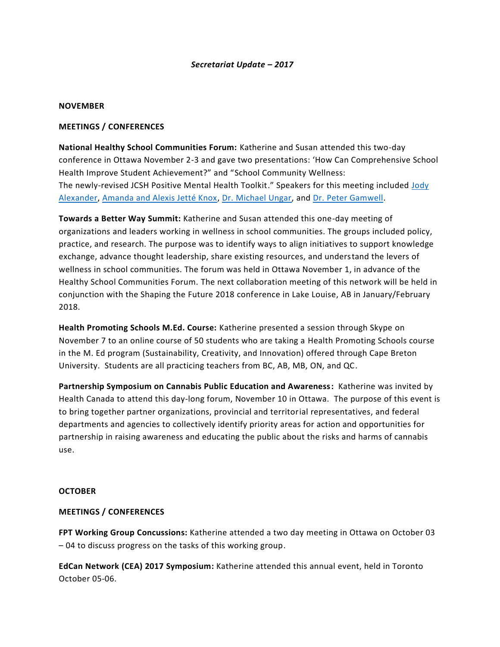#### *Secretariat Update – 2017*

#### **NOVEMBER**

#### **MEETINGS / CONFERENCES**

**National Healthy School Communities Forum:** Katherine and Susan attended this two-day conference in Ottawa November 2-3 and gave two presentations: 'How Can Comprehensive School Health Improve Student Achievement?" and "School Community Wellness: The newly-revised JCSH Positive Mental Health Toolkit." Speakers for this meeting included [Jody](http://www.phecanada.ca/sites/default/files/hscforum_2017_speaker_3_en.pdf)  [Alexander,](http://www.phecanada.ca/sites/default/files/hscforum_2017_speaker_3_en.pdf) [Amanda and Alexis Jetté Knox,](http://www.phecanada.ca/sites/default/files/hscforum_2017_speaker_4_en.pdf) [Dr. Michael Ungar,](http://www.phecanada.ca/sites/default/files/hscforum_2017_speaker_2_en.pdf) and [Dr. Peter Gamwell.](http://www.phecanada.ca/sites/default/files/hscforum_2017_speaker_1_en.pdf)

**Towards a Better Way Summit:** Katherine and Susan attended this one-day meeting of organizations and leaders working in wellness in school communities. The groups included policy, practice, and research. The purpose was to identify ways to align initiatives to support knowledge exchange, advance thought leadership, share existing resources, and understand the levers of wellness in school communities. The forum was held in Ottawa November 1, in advance of the Healthy School Communities Forum. The next collaboration meeting of this network will be held in conjunction with the Shaping the Future 2018 conference in Lake Louise, AB in January/February 2018.

**Health Promoting Schools M.Ed. Course:** Katherine presented a session through Skype on November 7 to an online course of 50 students who are taking a Health Promoting Schools course in the M. Ed program (Sustainability, Creativity, and Innovation) offered through Cape Breton University. Students are all practicing teachers from BC, AB, MB, ON, and QC.

**Partnership Symposium on Cannabis Public Education and Awareness:** Katherine was invited by Health Canada to attend this day-long forum, November 10 in Ottawa. The purpose of this event is to bring together partner organizations, provincial and territorial representatives, and federal departments and agencies to collectively identify priority areas for action and opportunities for partnership in raising awareness and educating the public about the risks and harms of cannabis use.

#### **OCTOBER**

### **MEETINGS / CONFERENCES**

**FPT Working Group Concussions:** Katherine attended a two day meeting in Ottawa on October 03 – 04 to discuss progress on the tasks of this working group.

**EdCan Network (CEA) 2017 Symposium:** Katherine attended this annual event, held in Toronto October 05-06.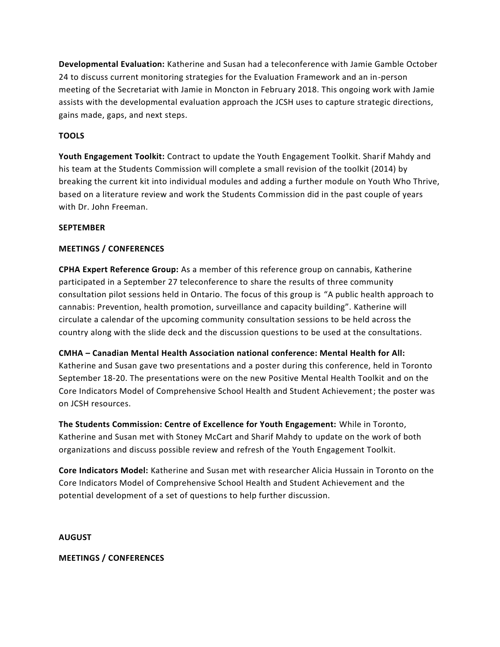**Developmental Evaluation:** Katherine and Susan had a teleconference with Jamie Gamble October 24 to discuss current monitoring strategies for the Evaluation Framework and an in-person meeting of the Secretariat with Jamie in Moncton in February 2018. This ongoing work with Jamie assists with the developmental evaluation approach the JCSH uses to capture strategic directions, gains made, gaps, and next steps.

# **TOOLS**

**Youth Engagement Toolkit:** Contract to update the Youth Engagement Toolkit. Sharif Mahdy and his team at the Students Commission will complete a small revision of the toolkit (2014) by breaking the current kit into individual modules and adding a further module on Youth Who Thrive, based on a literature review and work the Students Commission did in the past couple of years with Dr. John Freeman.

### **SEPTEMBER**

### **MEETINGS / CONFERENCES**

**CPHA Expert Reference Group:** As a member of this reference group on cannabis, Katherine participated in a September 27 teleconference to share the results of three community consultation pilot sessions held in Ontario. The focus of this group is "A public health approach to cannabis: Prevention, health promotion, surveillance and capacity building". Katherine will circulate a calendar of the upcoming community consultation sessions to be held across the country along with the slide deck and the discussion questions to be used at the consultations.

**CMHA – Canadian Mental Health Association national conference: Mental Health for All:** 

Katherine and Susan gave two presentations and a poster during this conference, held in Toronto September 18-20. The presentations were on the new Positive Mental Health Toolkit and on the Core Indicators Model of Comprehensive School Health and Student Achievement; the poster was on JCSH resources.

**The Students Commission: Centre of Excellence for Youth Engagement:** While in Toronto, Katherine and Susan met with Stoney McCart and Sharif Mahdy to update on the work of both organizations and discuss possible review and refresh of the Youth Engagement Toolkit.

**Core Indicators Model:** Katherine and Susan met with researcher Alicia Hussain in Toronto on the Core Indicators Model of Comprehensive School Health and Student Achievement and the potential development of a set of questions to help further discussion.

**AUGUST**

**MEETINGS / CONFERENCES**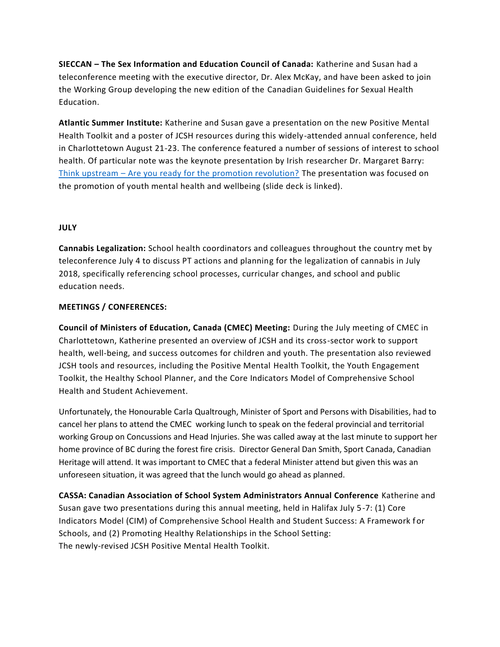**SIECCAN – The Sex Information and Education Council of Canada:** Katherine and Susan had a teleconference meeting with the executive director, Dr. Alex McKay, and have been asked to join the Working Group developing the new edition of the Canadian Guidelines for Sexual Health Education.

**Atlantic Summer Institute:** Katherine and Susan gave a presentation on the new Positive Mental Health Toolkit and a poster of JCSH resources during this widely-attended annual conference, held in Charlottetown August 21-23. The conference featured a number of sessions of interest to school health. Of particular note was the keynote presentation by Irish researcher Dr. Margaret Barry: Think upstream – [Are you ready for the promotion revolution?](http://www.asi-iea.ca/en/files/2017/09/ASI2017_Keynote_AreYouReady_EN.pdf) The presentation was focused on the promotion of youth mental health and wellbeing (slide deck is linked).

## **JULY**

**Cannabis Legalization:** School health coordinators and colleagues throughout the country met by teleconference July 4 to discuss PT actions and planning for the legalization of cannabis in July 2018, specifically referencing school processes, curricular changes, and school and public education needs.

## **MEETINGS / CONFERENCES:**

**Council of Ministers of Education, Canada (CMEC) Meeting:** During the July meeting of CMEC in Charlottetown, Katherine presented an overview of JCSH and its cross-sector work to support health, well-being, and success outcomes for children and youth. The presentation also reviewed JCSH tools and resources, including the Positive Mental Health Toolkit, the Youth Engagement Toolkit, the Healthy School Planner, and the Core Indicators Model of Comprehensive School Health and Student Achievement.

Unfortunately, the Honourable Carla Qualtrough, Minister of Sport and Persons with Disabilities, had to cancel her plans to attend the CMEC working lunch to speak on the federal provincial and territorial working Group on Concussions and Head Injuries. She was called away at the last minute to support her home province of BC during the forest fire crisis. Director General Dan Smith, Sport Canada, Canadian Heritage will attend. It was important to CMEC that a federal Minister attend but given this was an unforeseen situation, it was agreed that the lunch would go ahead as planned.

**CASSA: Canadian Association of School System Administrators Annual Conference** Katherine and Susan gave two presentations during this annual meeting, held in Halifax July 5-7: (1) Core Indicators Model (CIM) of Comprehensive School Health and Student Success: A Framework for Schools, and (2) Promoting Healthy Relationships in the School Setting: The newly-revised JCSH Positive Mental Health Toolkit.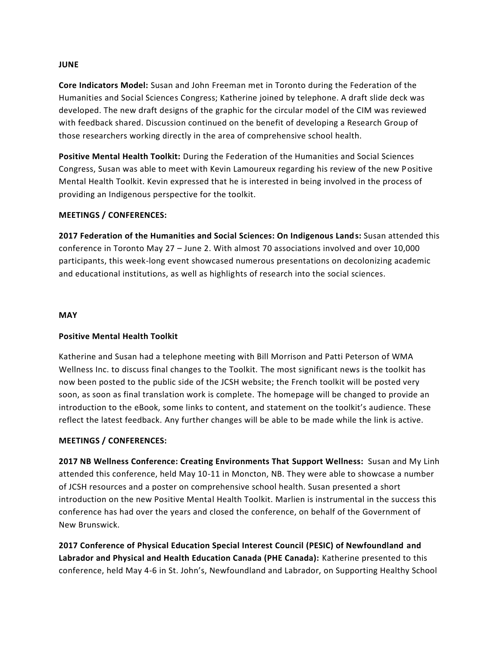#### **JUNE**

**Core Indicators Model:** Susan and John Freeman met in Toronto during the Federation of the Humanities and Social Sciences Congress; Katherine joined by telephone. A draft slide deck was developed. The new draft designs of the graphic for the circular model of the CIM was reviewed with feedback shared. Discussion continued on the benefit of developing a Research Group of those researchers working directly in the area of comprehensive school health.

**Positive Mental Health Toolkit:** During the Federation of the Humanities and Social Sciences Congress, Susan was able to meet with Kevin Lamoureux regarding his review of the new Positive Mental Health Toolkit. Kevin expressed that he is interested in being involved in the process of providing an Indigenous perspective for the toolkit.

### **MEETINGS / CONFERENCES:**

**2017 Federation of the Humanities and Social Sciences: On Indigenous Lands:** Susan attended this conference in Toronto May 27 – June 2. With almost 70 associations involved and over 10,000 participants, this week-long event showcased numerous presentations on decolonizing academic and educational institutions, as well as highlights of research into the social sciences.

#### **MAY**

### **Positive Mental Health Toolkit**

Katherine and Susan had a telephone meeting with Bill Morrison and Patti Peterson of WMA Wellness Inc. to discuss final changes to the Toolkit. The most significant news is the toolkit has now been posted to the public side of the JCSH website; the French toolkit will be posted very soon, as soon as final translation work is complete. The homepage will be changed to provide an introduction to the eBook, some links to content, and statement on the toolkit's audience. These reflect the latest feedback. Any further changes will be able to be made while the link is active.

### **MEETINGS / CONFERENCES:**

**2017 NB Wellness Conference: Creating Environments That Support Wellness:** Susan and My Linh attended this conference, held May 10-11 in Moncton, NB. They were able to showcase a number of JCSH resources and a poster on comprehensive school health. Susan presented a short introduction on the new Positive Mental Health Toolkit. Marlien is instrumental in the success this conference has had over the years and closed the conference, on behalf of the Government of New Brunswick.

**2017 Conference of Physical Education Special Interest Council (PESIC) of Newfoundland and Labrador and Physical and Health Education Canada (PHE Canada):** Katherine presented to this conference, held May 4-6 in St. John's, Newfoundland and Labrador, on Supporting Healthy School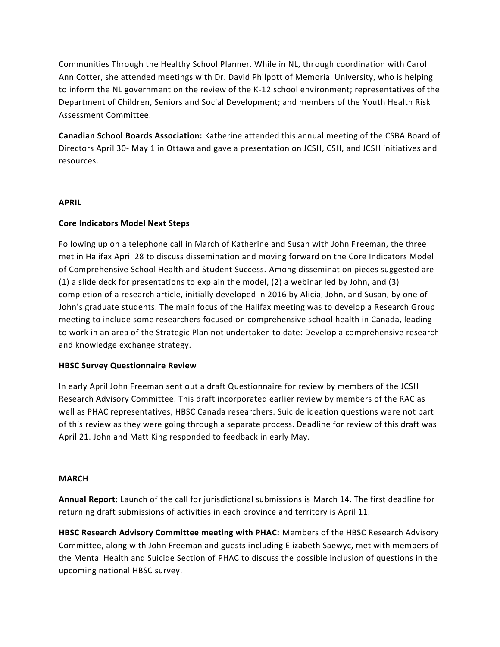Communities Through the Healthy School Planner. While in NL, through coordination with Carol Ann Cotter, she attended meetings with Dr. David Philpott of Memorial University, who is helping to inform the NL government on the review of the K-12 school environment; representatives of the Department of Children, Seniors and Social Development; and members of the Youth Health Risk Assessment Committee.

**Canadian School Boards Association:** Katherine attended this annual meeting of the CSBA Board of Directors April 30- May 1 in Ottawa and gave a presentation on JCSH, CSH, and JCSH initiatives and resources.

### **APRIL**

## **Core Indicators Model Next Steps**

Following up on a telephone call in March of Katherine and Susan with John Freeman, the three met in Halifax April 28 to discuss dissemination and moving forward on the Core Indicators Model of Comprehensive School Health and Student Success. Among dissemination pieces suggested are (1) a slide deck for presentations to explain the model, (2) a webinar led by John, and (3) completion of a research article, initially developed in 2016 by Alicia, John, and Susan, by one of John's graduate students. The main focus of the Halifax meeting was to develop a Research Group meeting to include some researchers focused on comprehensive school health in Canada, leading to work in an area of the Strategic Plan not undertaken to date: Develop a comprehensive research and knowledge exchange strategy.

### **HBSC Survey Questionnaire Review**

In early April John Freeman sent out a draft Questionnaire for review by members of the JCSH Research Advisory Committee. This draft incorporated earlier review by members of the RAC as well as PHAC representatives, HBSC Canada researchers. Suicide ideation questions were not part of this review as they were going through a separate process. Deadline for review of this draft was April 21. John and Matt King responded to feedback in early May.

### **MARCH**

**Annual Report:** Launch of the call for jurisdictional submissions is March 14. The first deadline for returning draft submissions of activities in each province and territory is April 11.

**HBSC Research Advisory Committee meeting with PHAC:** Members of the HBSC Research Advisory Committee, along with John Freeman and guests including Elizabeth Saewyc, met with members of the Mental Health and Suicide Section of PHAC to discuss the possible inclusion of questions in the upcoming national HBSC survey.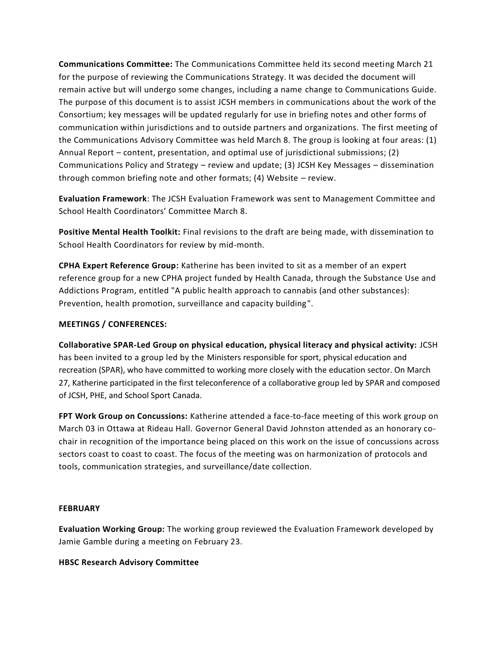**Communications Committee:** The Communications Committee held its second meeting March 21 for the purpose of reviewing the Communications Strategy. It was decided the document will remain active but will undergo some changes, including a name change to Communications Guide. The purpose of this document is to assist JCSH members in communications about the work of the Consortium; key messages will be updated regularly for use in briefing notes and other forms of communication within jurisdictions and to outside partners and organizations. The first meeting of the Communications Advisory Committee was held March 8. The group is looking at four areas: (1) Annual Report – content, presentation, and optimal use of jurisdictional submissions; (2) Communications Policy and Strategy – review and update; (3) JCSH Key Messages – dissemination through common briefing note and other formats; (4) Website – review.

**Evaluation Framework**: The JCSH Evaluation Framework was sent to Management Committee and School Health Coordinators' Committee March 8.

**Positive Mental Health Toolkit:** Final revisions to the draft are being made, with dissemination to School Health Coordinators for review by mid-month.

**CPHA Expert Reference Group:** Katherine has been invited to sit as a member of an expert reference group for a new CPHA project funded by Health Canada, through the Substance Use and Addictions Program, entitled "A public health approach to cannabis (and other substances): Prevention, health promotion, surveillance and capacity building".

## **MEETINGS / CONFERENCES:**

**Collaborative SPAR-Led Group on physical education, physical literacy and physical activity:** JCSH has been invited to a group led by the Ministers responsible for sport, physical education and recreation (SPAR), who have committed to working more closely with the education sector. On March 27, Katherine participated in the first teleconference of a collaborative group led by SPAR and composed of JCSH, PHE, and School Sport Canada.

**FPT Work Group on Concussions:** Katherine attended a face-to-face meeting of this work group on March 03 in Ottawa at Rideau Hall. Governor General David Johnston attended as an honorary cochair in recognition of the importance being placed on this work on the issue of concussions across sectors coast to coast to coast. The focus of the meeting was on harmonization of protocols and tools, communication strategies, and surveillance/date collection.

### **FEBRUARY**

**Evaluation Working Group:** The working group reviewed the Evaluation Framework developed by Jamie Gamble during a meeting on February 23.

### **HBSC Research Advisory Committee**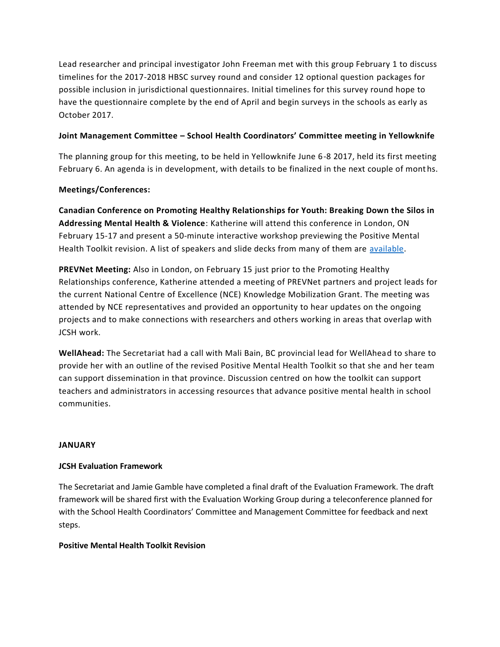Lead researcher and principal investigator John Freeman met with this group February 1 to discuss timelines for the 2017-2018 HBSC survey round and consider 12 optional question packages for possible inclusion in jurisdictional questionnaires. Initial timelines for this survey round hope to have the questionnaire complete by the end of April and begin surveys in the schools as early as October 2017.

# **Joint Management Committee – School Health Coordinators' Committee meeting in Yellowknife**

The planning group for this meeting, to be held in Yellowknife June 6-8 2017, held its first meeting February 6. An agenda is in development, with details to be finalized in the next couple of months.

# **Meetings/Conferences:**

**Canadian Conference on Promoting Healthy Relationships for Youth: Breaking Down the Silos in Addressing Mental Health & Violence**: Katherine will attend this conference in London, ON February 15-17 and present a 50-minute interactive workshop previewing the Positive Mental Health Toolkit revision. A list of speakers and slide decks from many of them are [available.](http://learningtoendabuse.ca/speaker-presentation-slides)

**PREVNet Meeting:** Also in London, on February 15 just prior to the Promoting Healthy Relationships conference, Katherine attended a meeting of PREVNet partners and project leads for the current National Centre of Excellence (NCE) Knowledge Mobilization Grant. The meeting was attended by NCE representatives and provided an opportunity to hear updates on the ongoing projects and to make connections with researchers and others working in areas that overlap with JCSH work.

**WellAhead:** The Secretariat had a call with Mali Bain, BC provincial lead for WellAhead to share to provide her with an outline of the revised Positive Mental Health Toolkit so that she and her team can support dissemination in that province. Discussion centred on how the toolkit can support teachers and administrators in accessing resources that advance positive mental health in school communities.

### **JANUARY**

### **JCSH Evaluation Framework**

The Secretariat and Jamie Gamble have completed a final draft of the Evaluation Framework. The draft framework will be shared first with the Evaluation Working Group during a teleconference planned for with the School Health Coordinators' Committee and Management Committee for feedback and next steps.

### **Positive Mental Health Toolkit Revision**